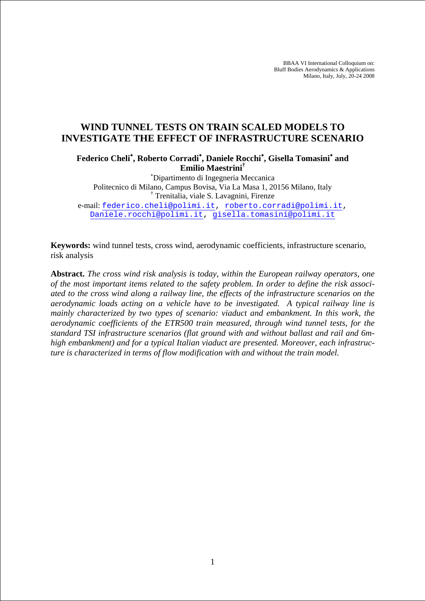BBAA VI International Colloquium on: Bluff Bodies Aerodynamics & Applications Milano, Italy, July, 20-24 2008

# **WIND TUNNEL TESTS ON TRAIN SCALED MODELS TO INVESTIGATE THE EFFECT OF INFRASTRUCTURE SCENARIO**

**Federico Cheli**<sup>∗</sup> **, Roberto Corradi**<sup>∗</sup> **, Daniele Rocchi**<sup>∗</sup> **, Gisella Tomasini**<sup>∗</sup>  **and Emilio Maestrini†**

∗ Dipartimento di Ingegneria Meccanica Politecnico di Milano, Campus Bovisa, Via La Masa 1, 20156 Milano, Italy † Trenitalia, viale S. Lavagnini, Firenze e-mail: federico.cheli@polimi.it, roberto.corradi@polimi.it, Daniele.rocchi@polimi.it, gisella.tomasini@polimi.it

**Keywords:** wind tunnel tests, cross wind, aerodynamic coefficients, infrastructure scenario, risk analysis

**Abstract.** *The cross wind risk analysis is today, within the European railway operators, one of the most important items related to the safety problem. In order to define the risk associated to the cross wind along a railway line, the effects of the infrastructure scenarios on the aerodynamic loads acting on a vehicle have to be investigated. A typical railway line is mainly characterized by two types of scenario: viaduct and embankment. In this work, the aerodynamic coefficients of the ETR500 train measured, through wind tunnel tests, for the standard TSI infrastructure scenarios (flat ground with and without ballast and rail and 6mhigh embankment) and for a typical Italian viaduct are presented. Moreover, each infrastructure is characterized in terms of flow modification with and without the train model.*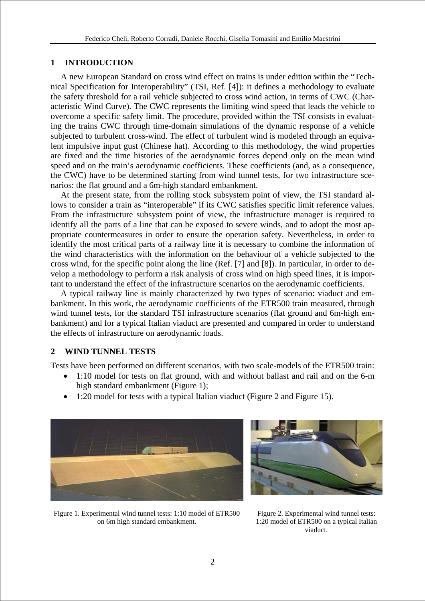## **1 INTRODUCTION**

A new European Standard on cross wind effect on trains is under edition within the "Technical Specification for Interoperability" (TSI, Ref. [4]): it defines a methodology to evaluate the safety threshold for a rail vehicle subjected to cross wind action, in terms of CWC (Characteristic Wind Curve). The CWC represents the limiting wind speed that leads the vehicle to overcome a specific safety limit. The procedure, provided within the TSI consists in evaluating the trains CWC through time-domain simulations of the dynamic response of a vehicle subjected to turbulent cross-wind. The effect of turbulent wind is modeled through an equivalent impulsive input gust (Chinese hat). According to this methodology, the wind properties are fixed and the time histories of the aerodynamic forces depend only on the mean wind speed and on the train's aerodynamic coefficients. These coefficients (and, as a consequence, the CWC) have to be determined starting from wind tunnel tests, for two infrastructure scenarios: the flat ground and a 6m-high standard embankment.

At the present state, from the rolling stock subsystem point of view, the TSI standard allows to consider a train as "interoperable" if its CWC satisfies specific limit reference values. From the infrastructure subsystem point of view, the infrastructure manager is required to identify all the parts of a line that can be exposed to severe winds, and to adopt the most appropriate countermeasures in order to ensure the operation safety. Nevertheless, in order to identify the most critical parts of a railway line it is necessary to combine the information of the wind characteristics with the information on the behaviour of a vehicle subjected to the cross wind, for the specific point along the line (Ref. [7] and [8]). In particular, in order to develop a methodology to perform a risk analysis of cross wind on high speed lines, it is important to understand the effect of the infrastructure scenarios on the aerodynamic coefficients.

A typical railway line is mainly characterized by two types of scenario: viaduct and embankment. In this work, the aerodynamic coefficients of the ETR500 train measured, through wind tunnel tests, for the standard TSI infrastructure scenarios (flat ground and 6m-high embankment) and for a typical Italian viaduct are presented and compared in order to understand the effects of infrastructure on aerodynamic loads.

# **2 WIND TUNNEL TESTS**

Tests have been performed on different scenarios, with two scale-models of the ETR500 train:

- 1:10 model for tests on flat ground, with and without ballast and rail and on the 6-m high standard embankment (Figure 1);
- 1:20 model for tests with a typical Italian viaduct (Figure 2 and Figure 15).





Figure 1. Experimental wind tunnel tests: 1:10 model of ETR500 on 6m high standard embankment.

Figure 2. Experimental wind tunnel tests: 1:20 model of ETR500 on a typical Italian viaduct.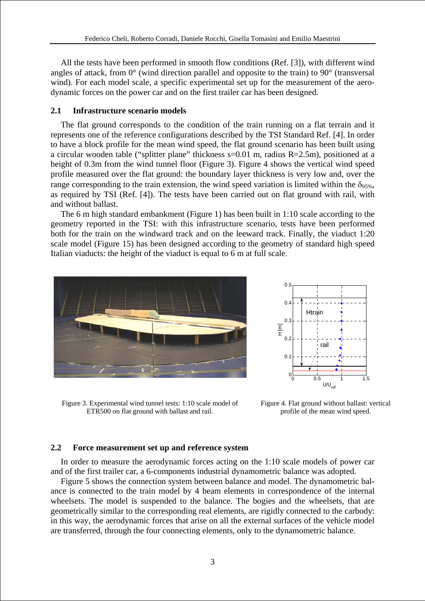All the tests have been performed in smooth flow conditions (Ref. [3]), with different wind angles of attack, from 0° (wind direction parallel and opposite to the train) to 90° (transversal wind). For each model scale, a specific experimental set up for the measurement of the aerodynamic forces on the power car and on the first trailer car has been designed.

### **2.1 Infrastructure scenario models**

The flat ground corresponds to the condition of the train running on a flat terrain and it represents one of the reference configurations described by the TSI Standard Ref. [4]. In order to have a block profile for the mean wind speed, the flat ground scenario has been built using a circular wooden table ("splitter plane" thickness s=0.01 m, radius R=2.5m), positioned at a height of 0.3m from the wind tunnel floor (Figure 3). Figure 4 shows the vertical wind speed profile measured over the flat ground: the boundary layer thickness is very low and, over the range corresponding to the train extension, the wind speed variation is limited within the  $\delta_{95\%}$ . as required by TSI (Ref. [4]). The tests have been carried out on flat ground with rail, with and without ballast.

The 6 m high standard embankment (Figure 1) has been built in 1:10 scale according to the geometry reported in the TSI: with this infrastructure scenario, tests have been performed both for the train on the windward track and on the leeward track. Finally, the viaduct 1:20 scale model (Figure 15) has been designed according to the geometry of standard high speed Italian viaducts: the height of the viaduct is equal to 6 m at full scale.





Figure 3. Experimental wind tunnel tests: 1:10 scale model of ETR500 on flat ground with ballast and rail.

Figure 4. Flat ground without ballast: vertical profile of the mean wind speed.

## **2.2 Force measurement set up and reference system**

In order to measure the aerodynamic forces acting on the 1:10 scale models of power car and of the first trailer car, a 6-components industrial dynamometric balance was adopted.

Figure 5 shows the connection system between balance and model. The dynamometric balance is connected to the train model by 4 beam elements in correspondence of the internal wheelsets. The model is suspended to the balance. The bogies and the wheelsets, that are geometrically similar to the corresponding real elements, are rigidly connected to the carbody: in this way, the aerodynamic forces that arise on all the external surfaces of the vehicle model are transferred, through the four connecting elements, only to the dynamometric balance.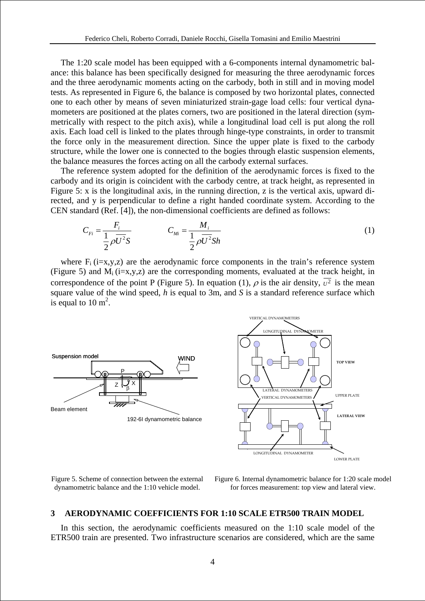The 1:20 scale model has been equipped with a 6-components internal dynamometric balance: this balance has been specifically designed for measuring the three aerodynamic forces and the three aerodynamic moments acting on the carbody, both in still and in moving model tests. As represented in Figure 6, the balance is composed by two horizontal plates, connected one to each other by means of seven miniaturized strain-gage load cells: four vertical dynamometers are positioned at the plates corners, two are positioned in the lateral direction (symmetrically with respect to the pitch axis), while a longitudinal load cell is put along the roll axis. Each load cell is linked to the plates through hinge-type constraints, in order to transmit the force only in the measurement direction. Since the upper plate is fixed to the carbody structure, while the lower one is connected to the bogies through elastic suspension elements, the balance measures the forces acting on all the carbody external surfaces.

The reference system adopted for the definition of the aerodynamic forces is fixed to the carbody and its origin is coincident with the carbody centre, at track height, as represented in Figure 5: x is the longitudinal axis, in the running direction, z is the vertical axis, upward directed, and y is perpendicular to define a right handed coordinate system. According to the CEN standard (Ref. [4]), the non-dimensional coefficients are defined as follows:

$$
C_{Fi} = \frac{F_i}{\frac{1}{2}\rho U^2 S} \qquad C_{Mi} = \frac{M_i}{\frac{1}{2}\rho U^2 Sh} \tag{1}
$$

where  $F_i$  (i=x,y,z) are the aerodynamic force components in the train's reference system (Figure 5) and  $M_i$  (i=x,y,z) are the corresponding moments, evaluated at the track height, in correspondence of the point P (Figure 5). In equation (1),  $\rho$  is the air density,  $\overline{v^2}$  is the mean square value of the wind speed, *h* is equal to 3m, and *S* is a standard reference surface which is equal to  $10 \text{ m}^2$ .





Figure 5. Scheme of connection between the external dynamometric balance and the 1:10 vehicle model.

Figure 6. Internal dynamometric balance for 1:20 scale model for forces measurement: top view and lateral view.

### **3 AERODYNAMIC COEFFICIENTS FOR 1:10 SCALE ETR500 TRAIN MODEL**

In this section, the aerodynamic coefficients measured on the 1:10 scale model of the ETR500 train are presented. Two infrastructure scenarios are considered, which are the same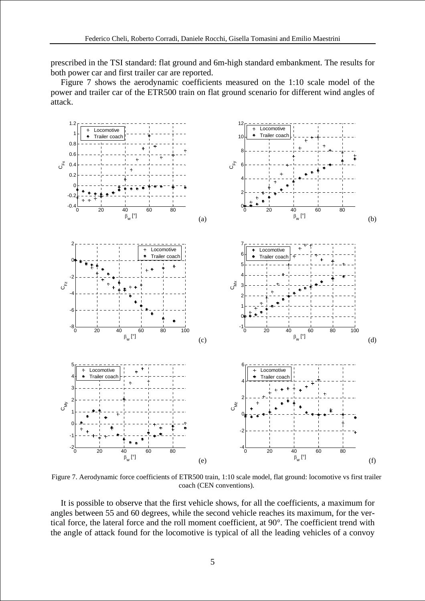prescribed in the TSI standard: flat ground and 6m-high standard embankment. The results for both power car and first trailer car are reported.

Figure 7 shows the aerodynamic coefficients measured on the 1:10 scale model of the power and trailer car of the ETR500 train on flat ground scenario for different wind angles of attack.



Figure 7. Aerodynamic force coefficients of ETR500 train, 1:10 scale model, flat ground: locomotive vs first trailer coach (CEN conventions).

It is possible to observe that the first vehicle shows, for all the coefficients, a maximum for angles between 55 and 60 degrees, while the second vehicle reaches its maximum, for the vertical force, the lateral force and the roll moment coefficient, at 90°. The coefficient trend with the angle of attack found for the locomotive is typical of all the leading vehicles of a convoy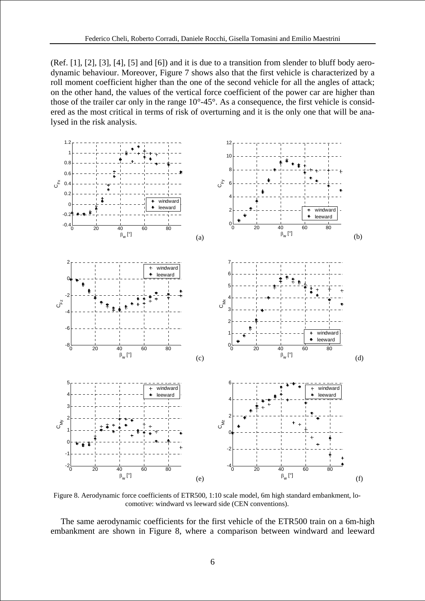(Ref. [1], [2], [3], [4], [5] and [6]) and it is due to a transition from slender to bluff body aerodynamic behaviour. Moreover, Figure 7 shows also that the first vehicle is characterized by a roll moment coefficient higher than the one of the second vehicle for all the angles of attack; on the other hand, the values of the vertical force coefficient of the power car are higher than those of the trailer car only in the range 10°-45°. As a consequence, the first vehicle is considered as the most critical in terms of risk of overturning and it is the only one that will be analysed in the risk analysis.



Figure 8. Aerodynamic force coefficients of ETR500, 1:10 scale model, 6m high standard embankment, locomotive: windward vs leeward side (CEN conventions).

The same aerodynamic coefficients for the first vehicle of the ETR500 train on a 6m-high embankment are shown in Figure 8, where a comparison between windward and leeward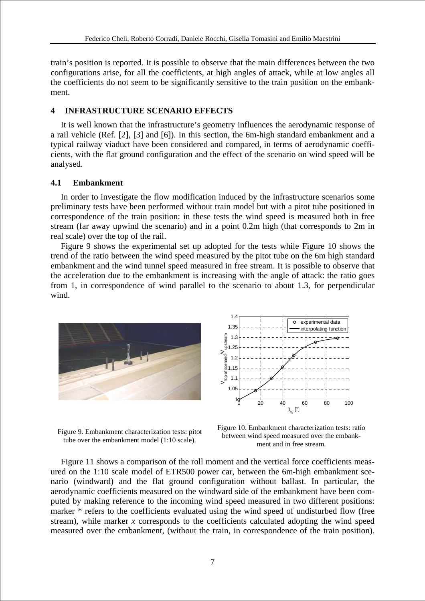train's position is reported. It is possible to observe that the main differences between the two configurations arise, for all the coefficients, at high angles of attack, while at low angles all the coefficients do not seem to be significantly sensitive to the train position on the embankment.

## **4 INFRASTRUCTURE SCENARIO EFFECTS**

It is well known that the infrastructure's geometry influences the aerodynamic response of a rail vehicle (Ref. [2], [3] and [6]). In this section, the 6m-high standard embankment and a typical railway viaduct have been considered and compared, in terms of aerodynamic coefficients, with the flat ground configuration and the effect of the scenario on wind speed will be analysed.

### **4.1 Embankment**

In order to investigate the flow modification induced by the infrastructure scenarios some preliminary tests have been performed without train model but with a pitot tube positioned in correspondence of the train position: in these tests the wind speed is measured both in free stream (far away upwind the scenario) and in a point 0.2m high (that corresponds to 2m in real scale) over the top of the rail.

Figure 9 shows the experimental set up adopted for the tests while Figure 10 shows the trend of the ratio between the wind speed measured by the pitot tube on the 6m high standard embankment and the wind tunnel speed measured in free stream. It is possible to observe that the acceleration due to the embankment is increasing with the angle of attack: the ratio goes from 1, in correspondence of wind parallel to the scenario to about 1.3, for perpendicular wind.



 $1.4$ experimental data 1.35 internolating function am  $\rm{V_{top}}$  of scenairo  $\rm{V_{upstream}}$  $1<sup>3</sup>$  $\frac{8}{5}$  1.25  $\frac{1}{2}$ <br>  $\frac{1}{2}$ <br>  $\frac{1}{2}$ <br>  $\frac{1}{2}$ <br>  $\frac{1}{2}$ <br>  $\frac{1}{2}$ <br>  $\frac{1}{2}$ <br>  $\frac{1}{2}$ <br>  $\frac{1}{2}$ <br>  $\frac{1}{2}$ <br>  $\frac{1}{2}$ <br>  $\frac{1}{2}$  $1.2$  $1.1$ 1.05 1 0 20 40 60 80 100  $\beta_w$ [°]

Figure 9. Embankment characterization tests: pitot tube over the embankment model (1:10 scale).

Figure 10. Embankment characterization tests: ratio between wind speed measured over the embankment and in free stream.

Figure 11 shows a comparison of the roll moment and the vertical force coefficients measured on the 1:10 scale model of ETR500 power car, between the 6m-high embankment scenario (windward) and the flat ground configuration without ballast. In particular, the aerodynamic coefficients measured on the windward side of the embankment have been computed by making reference to the incoming wind speed measured in two different positions: marker \* refers to the coefficients evaluated using the wind speed of undisturbed flow (free stream), while marker *x* corresponds to the coefficients calculated adopting the wind speed measured over the embankment, (without the train, in correspondence of the train position).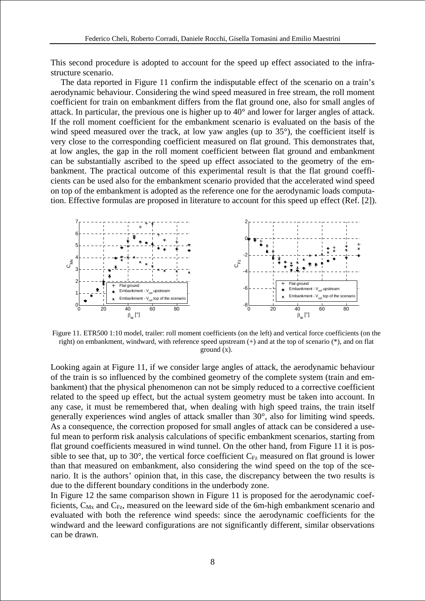This second procedure is adopted to account for the speed up effect associated to the infrastructure scenario.

The data reported in Figure 11 confirm the indisputable effect of the scenario on a train's aerodynamic behaviour. Considering the wind speed measured in free stream, the roll moment coefficient for train on embankment differs from the flat ground one, also for small angles of attack. In particular, the previous one is higher up to 40° and lower for larger angles of attack. If the roll moment coefficient for the embankment scenario is evaluated on the basis of the wind speed measured over the track, at low yaw angles (up to 35°), the coefficient itself is very close to the corresponding coefficient measured on flat ground. This demonstrates that, at low angles, the gap in the roll moment coefficient between flat ground and embankment can be substantially ascribed to the speed up effect associated to the geometry of the embankment. The practical outcome of this experimental result is that the flat ground coefficients can be used also for the embankment scenario provided that the accelerated wind speed on top of the embankment is adopted as the reference one for the aerodynamic loads computation. Effective formulas are proposed in literature to account for this speed up effect (Ref. [2]).



Figure 11. ETR500 1:10 model, trailer: roll moment coefficients (on the left) and vertical force coefficients (on the right) on embankment, windward, with reference speed upstream (+) and at the top of scenario (\*), and on flat ground (x).

Looking again at Figure 11, if we consider large angles of attack, the aerodynamic behaviour of the train is so influenced by the combined geometry of the complete system (train and embankment) that the physical phenomenon can not be simply reduced to a corrective coefficient related to the speed up effect, but the actual system geometry must be taken into account. In any case, it must be remembered that, when dealing with high speed trains, the train itself generally experiences wind angles of attack smaller than 30°, also for limiting wind speeds. As a consequence, the correction proposed for small angles of attack can be considered a useful mean to perform risk analysis calculations of specific embankment scenarios, starting from flat ground coefficients measured in wind tunnel. On the other hand, from Figure 11 it is possible to see that, up to 30 $^{\circ}$ , the vertical force coefficient  $C_{Fz}$  measured on flat ground is lower than that measured on embankment, also considering the wind speed on the top of the scenario. It is the authors' opinion that, in this case, the discrepancy between the two results is due to the different boundary conditions in the underbody zone.

In Figure 12 the same comparison shown in Figure 11 is proposed for the aerodynamic coefficients,  $C_{Mx}$  and  $C_{Fz}$ , measured on the leeward side of the 6m-high embankment scenario and evaluated with both the reference wind speeds: since the aerodynamic coefficients for the windward and the leeward configurations are not significantly different, similar observations can be drawn.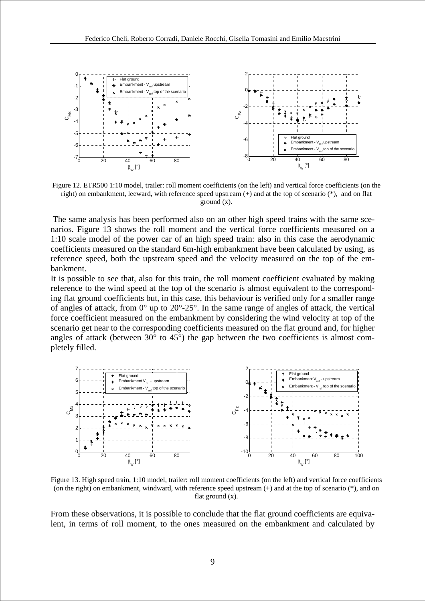

Figure 12. ETR500 1:10 model, trailer: roll moment coefficients (on the left) and vertical force coefficients (on the right) on embankment, leeward, with reference speed upstream (+) and at the top of scenario (\*), and on flat ground (x).

 The same analysis has been performed also on an other high speed trains with the same scenarios. Figure 13 shows the roll moment and the vertical force coefficients measured on a 1:10 scale model of the power car of an high speed train: also in this case the aerodynamic coefficients measured on the standard 6m-high embankment have been calculated by using, as reference speed, both the upstream speed and the velocity measured on the top of the embankment.

It is possible to see that, also for this train, the roll moment coefficient evaluated by making reference to the wind speed at the top of the scenario is almost equivalent to the corresponding flat ground coefficients but, in this case, this behaviour is verified only for a smaller range of angles of attack, from  $0^{\circ}$  up to  $20^{\circ}$ -25°. In the same range of angles of attack, the vertical force coefficient measured on the embankment by considering the wind velocity at top of the scenario get near to the corresponding coefficients measured on the flat ground and, for higher angles of attack (between  $30^{\circ}$  to  $45^{\circ}$ ) the gap between the two coefficients is almost completely filled.



Figure 13. High speed train, 1:10 model, trailer: roll moment coefficients (on the left) and vertical force coefficients (on the right) on embankment, windward, with reference speed upstream (+) and at the top of scenario (\*), and on flat ground (x).

From these observations, it is possible to conclude that the flat ground coefficients are equivalent, in terms of roll moment, to the ones measured on the embankment and calculated by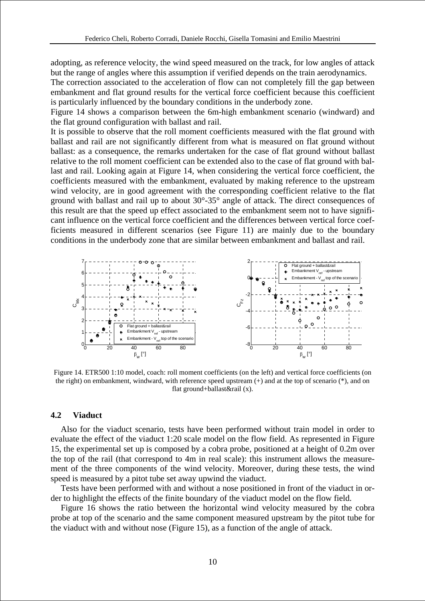adopting, as reference velocity, the wind speed measured on the track, for low angles of attack but the range of angles where this assumption if verified depends on the train aerodynamics.

The correction associated to the acceleration of flow can not completely fill the gap between embankment and flat ground results for the vertical force coefficient because this coefficient is particularly influenced by the boundary conditions in the underbody zone.

Figure 14 shows a comparison between the 6m-high embankment scenario (windward) and the flat ground configuration with ballast and rail.

It is possible to observe that the roll moment coefficients measured with the flat ground with ballast and rail are not significantly different from what is measured on flat ground without ballast: as a consequence, the remarks undertaken for the case of flat ground without ballast relative to the roll moment coefficient can be extended also to the case of flat ground with ballast and rail. Looking again at Figure 14, when considering the vertical force coefficient, the coefficients measured with the embankment, evaluated by making reference to the upstream wind velocity, are in good agreement with the corresponding coefficient relative to the flat ground with ballast and rail up to about 30°-35° angle of attack. The direct consequences of this result are that the speed up effect associated to the embankment seem not to have significant influence on the vertical force coefficient and the differences between vertical force coefficients measured in different scenarios (see Figure 11) are mainly due to the boundary conditions in the underbody zone that are similar between embankment and ballast and rail.



Figure 14. ETR500 1:10 model, coach: roll moment coefficients (on the left) and vertical force coefficients (on the right) on embankment, windward, with reference speed upstream (+) and at the top of scenario (\*), and on flat ground+ballast&rail (x).

#### **4.2 Viaduct**

Also for the viaduct scenario, tests have been performed without train model in order to evaluate the effect of the viaduct 1:20 scale model on the flow field. As represented in Figure 15, the experimental set up is composed by a cobra probe, positioned at a height of 0.2m over the top of the rail (that correspond to 4m in real scale): this instrument allows the measurement of the three components of the wind velocity. Moreover, during these tests, the wind speed is measured by a pitot tube set away upwind the viaduct.

Tests have been performed with and without a nose positioned in front of the viaduct in order to highlight the effects of the finite boundary of the viaduct model on the flow field.

Figure 16 shows the ratio between the horizontal wind velocity measured by the cobra probe at top of the scenario and the same component measured upstream by the pitot tube for the viaduct with and without nose (Figure 15), as a function of the angle of attack.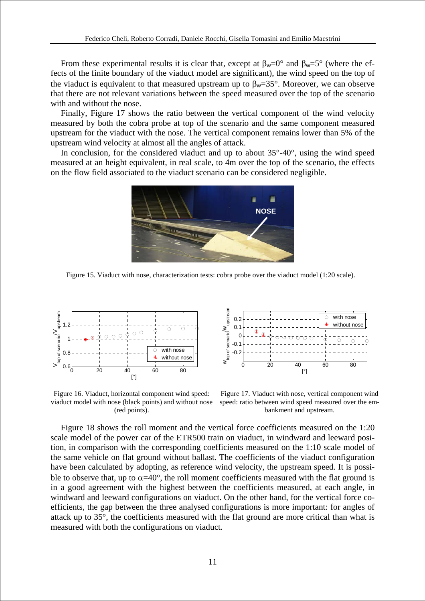From these experimental results it is clear that, except at  $\beta_w=0^\circ$  and  $\beta_w=5^\circ$  (where the effects of the finite boundary of the viaduct model are significant), the wind speed on the top of the viaduct is equivalent to that measured upstream up to  $\beta_w=35^\circ$ . Moreover, we can observe that there are not relevant variations between the speed measured over the top of the scenario with and without the nose.

Finally, Figure 17 shows the ratio between the vertical component of the wind velocity measured by both the cobra probe at top of the scenario and the same component measured upstream for the viaduct with the nose. The vertical component remains lower than 5% of the upstream wind velocity at almost all the angles of attack.

In conclusion, for the considered viaduct and up to about  $35^{\circ}$ -40 $^{\circ}$ , using the wind speed measured at an height equivalent, in real scale, to 4m over the top of the scenario, the effects on the flow field associated to the viaduct scenario can be considered negligible.



Figure 15. Viaduct with nose, characterization tests: cobra probe over the viaduct model (1:20 scale).



Figure 16. Viaduct, horizontal component wind speed: viaduct model with nose (black points) and without nose (red points).



Figure 17. Viaduct with nose, vertical component wind speed: ratio between wind speed measured over the embankment and upstream.

Figure 18 shows the roll moment and the vertical force coefficients measured on the 1:20 scale model of the power car of the ETR500 train on viaduct, in windward and leeward position, in comparison with the corresponding coefficients measured on the 1:10 scale model of the same vehicle on flat ground without ballast. The coefficients of the viaduct configuration have been calculated by adopting, as reference wind velocity, the upstream speed. It is possible to observe that, up to  $\alpha$ =40°, the roll moment coefficients measured with the flat ground is in a good agreement with the highest between the coefficients measured, at each angle, in windward and leeward configurations on viaduct. On the other hand, for the vertical force coefficients, the gap between the three analysed configurations is more important: for angles of attack up to 35°, the coefficients measured with the flat ground are more critical than what is measured with both the configurations on viaduct.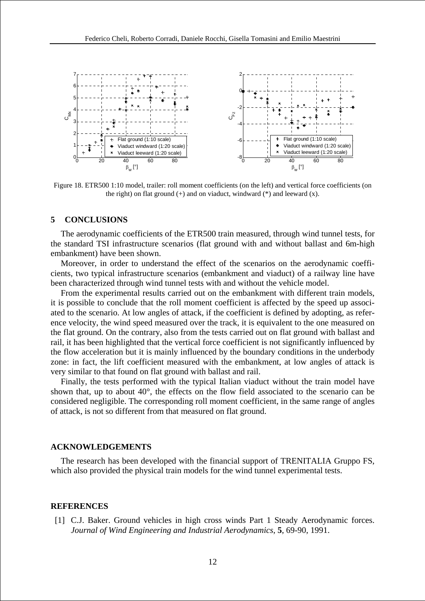

Figure 18. ETR500 1:10 model, trailer: roll moment coefficients (on the left) and vertical force coefficients (on the right) on flat ground  $(+)$  and on viaduct, windward  $(*)$  and leeward  $(x)$ .

### **5 CONCLUSIONS**

The aerodynamic coefficients of the ETR500 train measured, through wind tunnel tests, for the standard TSI infrastructure scenarios (flat ground with and without ballast and 6m-high embankment) have been shown.

Moreover, in order to understand the effect of the scenarios on the aerodynamic coefficients, two typical infrastructure scenarios (embankment and viaduct) of a railway line have been characterized through wind tunnel tests with and without the vehicle model.

From the experimental results carried out on the embankment with different train models, it is possible to conclude that the roll moment coefficient is affected by the speed up associated to the scenario. At low angles of attack, if the coefficient is defined by adopting, as reference velocity, the wind speed measured over the track, it is equivalent to the one measured on the flat ground. On the contrary, also from the tests carried out on flat ground with ballast and rail, it has been highlighted that the vertical force coefficient is not significantly influenced by the flow acceleration but it is mainly influenced by the boundary conditions in the underbody zone: in fact, the lift coefficient measured with the embankment, at low angles of attack is very similar to that found on flat ground with ballast and rail.

Finally, the tests performed with the typical Italian viaduct without the train model have shown that, up to about 40°, the effects on the flow field associated to the scenario can be considered negligible. The corresponding roll moment coefficient, in the same range of angles of attack, is not so different from that measured on flat ground.

#### **ACKNOWLEDGEMENTS**

The research has been developed with the financial support of TRENITALIA Gruppo FS, which also provided the physical train models for the wind tunnel experimental tests.

#### **REFERENCES**

[1] C.J. Baker. Ground vehicles in high cross winds Part 1 Steady Aerodynamic forces. *Journal of Wind Engineering and Industrial Aerodynamics*, **5**, 69-90, 1991.